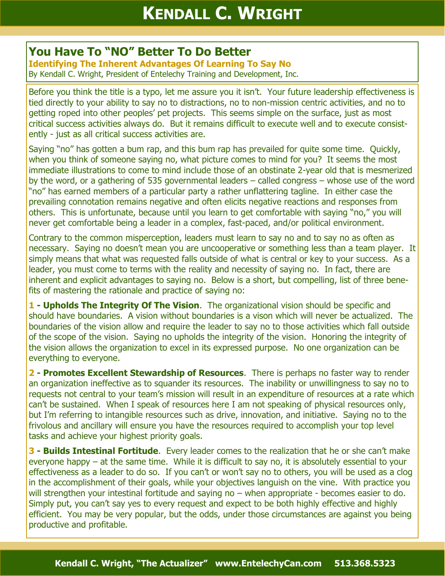## **You Have To "NO" Better To Do Better**

**Identifying The Inherent Advantages Of Learning To Say No** By Kendall C. Wright, President of Entelechy Training and Development, Inc.

Before you think the title is a typo, let me assure you it isn't. Your future leadership effectiveness is tied directly to your ability to say no to distractions, no to non-mission centric activities, and no to getting roped into other peoples' pet projects. This seems simple on the surface, just as most critical success activities always do. But it remains difficult to execute well and to execute consistently - just as all critical success activities are.

Saying "no" has gotten a bum rap, and this bum rap has prevailed for quite some time. Quickly, when you think of someone saying no, what picture comes to mind for you? It seems the most immediate illustrations to come to mind include those of an obstinate 2-year old that is mesmerized by the word, or a gathering of 535 governmental leaders – called congress – whose use of the word "no" has earned members of a particular party a rather unflattering tagline. In either case the prevailing connotation remains negative and often elicits negative reactions and responses from others. This is unfortunate, because until you learn to get comfortable with saying "no," you will never get comfortable being a leader in a complex, fast-paced, and/or political environment.

Contrary to the common misperception, leaders must learn to say no and to say no as often as necessary. Saying no doesn't mean you are uncooperative or something less than a team player. It simply means that what was requested falls outside of what is central or key to your success. As a leader, you must come to terms with the reality and necessity of saying no. In fact, there are inherent and explicit advantages to saying no. Below is a short, but compelling, list of three benefits of mastering the rationale and practice of saying no:

**1 - Upholds The Integrity Of The Vision**. The organizational vision should be specific and should have boundaries. A vision without boundaries is a vison which will never be actualized. The boundaries of the vision allow and require the leader to say no to those activities which fall outside of the scope of the vision. Saying no upholds the integrity of the vision. Honoring the integrity of the vision allows the organization to excel in its expressed purpose. No one organization can be everything to everyone.

**2 - Promotes Excellent Stewardship of Resources**. There is perhaps no faster way to render an organization ineffective as to squander its resources. The inability or unwillingness to say no to requests not central to your team's mission will result in an expenditure of resources at a rate which can't be sustained. When I speak of resources here I am not speaking of physical resources only, but I'm referring to intangible resources such as drive, innovation, and initiative. Saying no to the frivolous and ancillary will ensure you have the resources required to accomplish your top level tasks and achieve your highest priority goals.

**3 - Builds Intestinal Fortitude**. Every leader comes to the realization that he or she can't make everyone happy – at the same time. While it is difficult to say no, it is absolutely essential to your effectiveness as a leader to do so. If you can't or won't say no to others, you will be used as a clog in the accomplishment of their goals, while your objectives languish on the vine. With practice you will strengthen your intestinal fortitude and saying no – when appropriate - becomes easier to do. Simply put, you can't say yes to every request and expect to be both highly effective and highly efficient. You may be very popular, but the odds, under those circumstances are against you being productive and profitable.